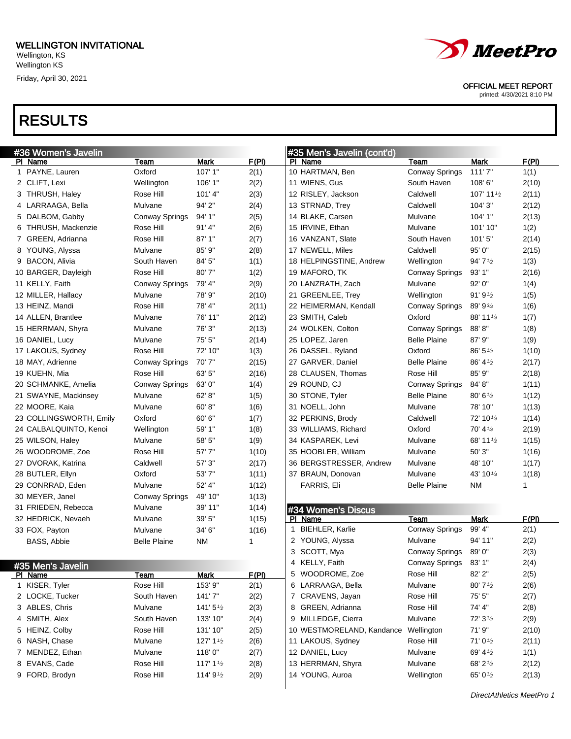

### OFFICIAL MEET REPORT

printed: 4/30/2021 8:10 PM

### RESULTS

| #36 Women's Javelin       |                       |                      |       | #35 Men's Javelin (cont'd)  |                       |                       |       |  |
|---------------------------|-----------------------|----------------------|-------|-----------------------------|-----------------------|-----------------------|-------|--|
| PI Name                   | Team                  | <b>Mark</b>          | F(PI) | PI Name                     | <u>Team</u>           | <b>Mark</b>           | F(PI) |  |
| 1 PAYNE, Lauren           | Oxford                | 107' 1"              | 2(1)  | 10 HARTMAN, Ben             | <b>Conway Springs</b> | 111'7"                | 1(1)  |  |
| 2 CLIFT, Lexi             | Wellington            | 106' 1"              | 2(2)  | 11 WIENS, Gus               | South Haven           | 108'6"                | 2(10) |  |
| 3 THRUSH, Haley           | Rose Hill             | 101' 4"              | 2(3)  | 12 RISLEY, Jackson          | Caldwell              | 107' 11 $\frac{1}{2}$ | 2(11) |  |
| 4 LARRAAGA, Bella         | Mulvane               | 94' 2"               | 2(4)  | 13 STRNAD, Trey             | Caldwell              | 104' 3"               | 2(12) |  |
| DALBOM, Gabby<br>5.       | <b>Conway Springs</b> | 94' 1"               | 2(5)  | 14 BLAKE, Carsen            | Mulvane               | 104' 1"               | 2(13) |  |
| THRUSH, Mackenzie<br>6    | Rose Hill             | $91'$ 4"             | 2(6)  | 15 IRVINE, Ethan            | Mulvane               | 101' 10"              | 1(2)  |  |
| GREEN, Adrianna<br>7      | Rose Hill             | 87' 1"               | 2(7)  | 16 VANZANT, Slate           | South Haven           | 101' 5"               | 2(14) |  |
| YOUNG, Alyssa<br>8.       | Mulvane               | 85' 9"               | 2(8)  | 17 NEWELL, Miles            | Caldwell              | 95' 0"                | 2(15) |  |
| <b>BACON, Alivia</b><br>9 | South Haven           | 84' 5"               | 1(1)  | 18 HELPINGSTINE, Andrew     | Wellington            | 94'7'' <sub>2</sub>   | 1(3)  |  |
| 10 BARGER, Dayleigh       | Rose Hill             | 80'7"                | 1(2)  | 19 MAFORO, TK               | <b>Conway Springs</b> | 93' 1"                | 2(16) |  |
| 11 KELLY, Faith           | <b>Conway Springs</b> | 79' 4"               | 2(9)  | 20 LANZRATH, Zach           | Mulvane               | 92'0''                | 1(4)  |  |
| 12 MILLER, Hallacy        | Mulvane               | 78' 9"               | 2(10) | 21 GREENLEE, Trey           | Wellington            | 91'9'2                | 1(5)  |  |
| 13 HEINZ, Mandi           | Rose Hill             | 78' 4"               | 2(11) | 22 HEIMERMAN, Kendall       | <b>Conway Springs</b> | 89' 9 $\frac{3}{4}$   | 1(6)  |  |
| 14 ALLEN, Brantlee        | Mulvane               | 76' 11"              | 2(12) | 23 SMITH, Caleb             | Oxford                | 88' 11 $\frac{1}{4}$  | 1(7)  |  |
| 15 HERRMAN, Shyra         | Mulvane               | 76' 3"               | 2(13) | 24 WOLKEN, Colton           | <b>Conway Springs</b> | 88'8"                 | 1(8)  |  |
| 16 DANIEL, Lucy           | Mulvane               | 75' 5"               | 2(14) | 25 LOPEZ, Jaren             | <b>Belle Plaine</b>   | 87' 9"                | 1(9)  |  |
| 17 LAKOUS, Sydney         | Rose Hill             | 72' 10"              | 1(3)  | 26 DASSEL, Ryland           | Oxford                | $86' 5\frac{1}{2}$    | 1(10) |  |
| 18 MAY, Adrienne          | Conway Springs        | 70'7"                | 2(15) | 27 GARVER, Daniel           | <b>Belle Plaine</b>   | 86' 41/2              | 2(17) |  |
| 19 KUEHN, Mia             | Rose Hill             | 63' 5"               | 2(16) | 28 CLAUSEN, Thomas          | Rose Hill             | 85' 9"                | 2(18) |  |
| 20 SCHMANKE, Amelia       | <b>Conway Springs</b> | 63' 0"               | 1(4)  | 29 ROUND, CJ                | <b>Conway Springs</b> | 84' 8"                | 1(11) |  |
| 21 SWAYNE, Mackinsey      | Mulvane               | 62' 8''              | 1(5)  | 30 STONE, Tyler             | <b>Belle Plaine</b>   | $80' 6\frac{1}{2}$    | 1(12) |  |
| 22 MOORE, Kaia            | Mulvane               | 60'8"                | 1(6)  | 31 NOELL, John              | Mulvane               | 78' 10"               | 1(13) |  |
| 23 COLLINGSWORTH, Emily   | Oxford                | 60' 6"               | 1(7)  | 32 PERKINS, Brody           | Caldwell              | 72' 10 $\frac{1}{4}$  | 1(14) |  |
| 24 CALBALQUINTO, Kenoi    | Wellington            | 59' 1"               | 1(8)  | 33 WILLIAMS, Richard        | Oxford                | $70' 4\frac{1}{4}$    | 2(19) |  |
| 25 WILSON, Haley          | Mulvane               | 58' 5"               | 1(9)  | 34 KASPAREK, Levi           | Mulvane               | 68' 11 $\frac{1}{2}$  | 1(15) |  |
| 26 WOODROME, Zoe          | Rose Hill             | 57'7"                | 1(10) | 35 HOOBLER, William         | Mulvane               | 50' 3"                | 1(16) |  |
| 27 DVORAK, Katrina        | Caldwell              | 57' 3"               | 2(17) | 36 BERGSTRESSER, Andrew     | Mulvane               | 48' 10"               | 1(17) |  |
| 28 BUTLER, Ellyn          | Oxford                | 53'7"                | 1(11) | 37 BRAUN, Donovan           | Mulvane               | 43' 10 $\frac{1}{4}$  | 1(18) |  |
| 29 CONRRAD, Eden          | Mulvane               | 52' 4"               | 1(12) | <b>FARRIS, Eli</b>          | <b>Belle Plaine</b>   | <b>NM</b>             | 1     |  |
| 30 MEYER, Janel           | <b>Conway Springs</b> | 49' 10"              | 1(13) |                             |                       |                       |       |  |
| 31 FRIEDEN, Rebecca       | Mulvane               | 39' 11"              | 1(14) | #34 Women's Discus          |                       |                       |       |  |
| 32 HEDRICK, Nevaeh        | Mulvane               | 39' 5"               | 1(15) | PI Name                     | Team                  | <b>Mark</b>           | F(PI) |  |
| 33 FOX, Payton            | Mulvane               | 34' 6"               | 1(16) | <b>BIEHLER, Karlie</b><br>1 | <b>Conway Springs</b> | 99' 4"                | 2(1)  |  |
| BASS, Abbie               | <b>Belle Plaine</b>   | ΝM                   | 1     | 2 YOUNG, Alyssa             | Mulvane               | 94' 11"               | 2(2)  |  |
|                           |                       |                      |       | 3 SCOTT, Mya                | <b>Conway Springs</b> | 89'0"                 | 2(3)  |  |
| #35 Men's Javelin         |                       |                      |       | 4 KELLY, Faith              | Conway Springs 83' 1" |                       | 2(4)  |  |
| <b>PI Name</b>            | Team                  | <b>Mark</b>          | F(PI) | 5 WOODROME, Zoe             | Rose Hill             | $82'$ 2"              | 2(5)  |  |
| 1 KISER, Tyler            | Rose Hill             | 153' 9"              | 2(1)  | 6 LARRAAGA, Bella           | Mulvane               | 80' 71/2              | 2(6)  |  |
| 2 LOCKE, Tucker           | South Haven           | 141'7"               | 2(2)  | 7 CRAVENS, Jayan            | Rose Hill             | 75' 5"                | 2(7)  |  |
| 3 ABLES, Chris            | Mulvane               | 141' $5\frac{1}{2}$  | 2(3)  | 8 GREEN, Adrianna           | Rose Hill             | 74' 4"                | 2(8)  |  |
| 4 SMITH, Alex             | South Haven           | 133' 10"             | 2(4)  | 9 MILLEDGE, Cierra          | Mulvane               | 72'3'' <sub>2</sub>   | 2(9)  |  |
| 5 HEINZ, Colby            | Rose Hill             | 131' 10"             | 2(5)  | 10 WESTMORELAND, Kandance   | Wellington            | 71' 9"                | 2(10) |  |
| 6 NASH, Chase             | Mulvane               | 127' 1 $\frac{1}{2}$ | 2(6)  | 11 LAKOUS, Sydney           | Rose Hill             | 71' 01/2              | 2(11) |  |
| 7 MENDEZ, Ethan           | Mulvane               | 118'0"               | 2(7)  | 12 DANIEL, Lucy             | Mulvane               | 69' 41/2              | 1(1)  |  |
| 8 EVANS, Cade             | Rose Hill             | 117' 1 $\frac{1}{2}$ | 2(8)  | 13 HERRMAN, Shyra           | Mulvane               | 68' 21/2              | 2(12) |  |
| 9 FORD, Brodyn            | Rose Hill             | 114' $9\frac{1}{2}$  | 2(9)  | 14 YOUNG, Auroa             | Wellington            | 65' 01/2              | 2(13) |  |
|                           |                       |                      |       |                             |                       |                       |       |  |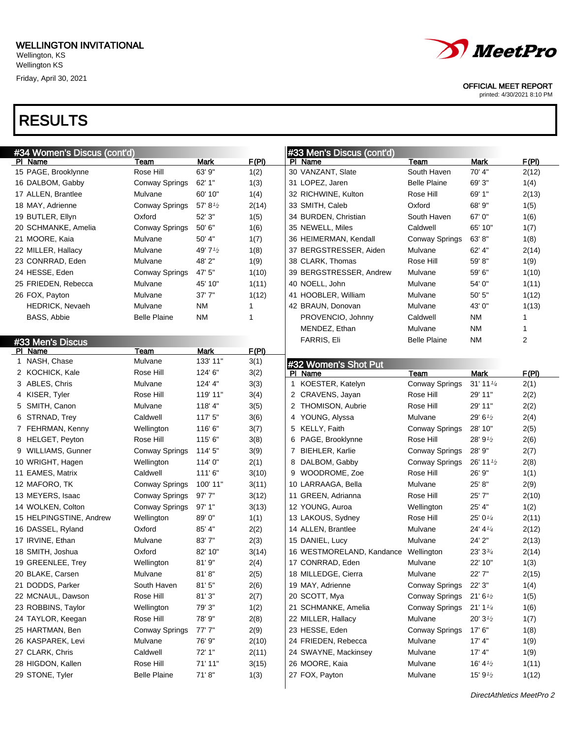### RESULTS



| #34 Women's Discus (cont'd) |                         |                       |                     |       | #33 Men's Discus (cont'd) |                                      |                       |                                   |       |
|-----------------------------|-------------------------|-----------------------|---------------------|-------|---------------------------|--------------------------------------|-----------------------|-----------------------------------|-------|
|                             | PI Name                 | Team                  | <b>Mark</b>         | F(PI) |                           | PI Name                              | Team                  | <b>Mark</b>                       | F(PI) |
|                             | 15 PAGE, Brooklynne     | Rose Hill             | 63' 9"              | 1(2)  |                           | 30 VANZANT, Slate                    | South Haven           | 70' 4"                            | 2(12) |
|                             | 16 DALBOM, Gabby        | Conway Springs        | 62' 1"              | 1(3)  |                           | 31 LOPEZ, Jaren                      | <b>Belle Plaine</b>   | 69' 3"                            | 1(4)  |
|                             | 17 ALLEN, Brantlee      | Mulvane               | 60' 10"             | 1(4)  |                           | 32 RICHWINE, Kulton                  | Rose Hill             | 69' 1"                            | 2(13) |
|                             | 18 MAY, Adrienne        | Conway Springs        | 57' 8 $\frac{1}{2}$ | 2(14) |                           | 33 SMITH, Caleb                      | Oxford                | 68' 9"                            | 1(5)  |
|                             | 19 BUTLER, Ellyn        | Oxford                | 52' 3"              | 1(5)  |                           | 34 BURDEN, Christian                 | South Haven           | 67' 0"                            | 1(6)  |
|                             | 20 SCHMANKE, Amelia     | Conway Springs        | 50' 6"              | 1(6)  |                           | 35 NEWELL, Miles                     | Caldwell              | 65' 10"                           | 1(7)  |
|                             | 21 MOORE, Kaia          | Mulvane               | 50' 4"              | 1(7)  |                           | 36 HEIMERMAN, Kendall                | Conway Springs        | 63'8"                             | 1(8)  |
|                             | 22 MILLER, Hallacy      | Mulvane               | 49' 71/2            | 1(8)  |                           | 37 BERGSTRESSER, Aiden               | Mulvane               | 62' 4"                            | 2(14) |
|                             | 23 CONRRAD, Eden        | Mulvane               | 48' 2"              | 1(9)  |                           | 38 CLARK, Thomas                     | Rose Hill             | 59' 8"                            | 1(9)  |
|                             | 24 HESSE, Eden          | <b>Conway Springs</b> | 47' 5"              | 1(10) |                           | 39 BERGSTRESSER, Andrew              | Mulvane               | 59' 6"                            | 1(10) |
|                             | 25 FRIEDEN, Rebecca     | Mulvane               | 45' 10"             | 1(11) |                           | 40 NOELL, John                       | Mulvane               | 54' 0"                            | 1(11) |
|                             | 26 FOX, Payton          | Mulvane               | 37'7''              | 1(12) |                           | 41 HOOBLER, William                  | Mulvane               | 50' 5"                            | 1(12) |
|                             | <b>HEDRICK, Nevaeh</b>  | Mulvane               | <b>NM</b>           | 1     |                           | 42 BRAUN, Donovan                    | Mulvane               | 43' 0"                            | 1(13) |
|                             | BASS, Abbie             | <b>Belle Plaine</b>   | ΝM                  | 1     |                           | PROVENCIO, Johnny                    | Caldwell              | <b>NM</b>                         | 1     |
|                             |                         |                       |                     |       |                           | MENDEZ, Ethan                        | Mulvane               | ΝM                                | 1     |
|                             | #33 Men's Discus        |                       |                     |       |                           | <b>FARRIS, Eli</b>                   | <b>Belle Plaine</b>   | ΝM                                | 2     |
|                             | PI Name                 | Team                  | <b>Mark</b>         | F(PI) |                           |                                      |                       |                                   |       |
|                             | 1 NASH, Chase           | Mulvane               | 133' 11"            | 3(1)  |                           | #32 Women's Shot Put                 |                       |                                   |       |
|                             | 2 KOCHICK, Kale         | Rose Hill             | 124' 6"             | 3(2)  |                           | PI Name                              | <b>Team</b>           | <b>Mark</b>                       | F(PI) |
|                             | 3 ABLES, Chris          | Mulvane               | 124' 4"             | 3(3)  | $\mathbf{1}$              | KOESTER, Katelyn                     | Conway Springs        | $31'$ 11 $\frac{1}{4}$            | 2(1)  |
|                             | 4 KISER, Tyler          | Rose Hill             | 119' 11"            | 3(4)  |                           | 2 CRAVENS, Jayan                     | Rose Hill             | 29' 11"                           | 2(2)  |
|                             | 5 SMITH, Canon          | Mulvane               | 118' 4"             | 3(5)  |                           | 2 THOMISON, Aubrie                   | Rose Hill             | 29' 11"                           | 2(2)  |
|                             | 6 STRNAD, Trey          | Caldwell              | 117' 5"             | 3(6)  |                           | 4 YOUNG, Alyssa                      | Mulvane               | 29' 61/2                          | 2(4)  |
|                             | 7 FEHRMAN, Kenny        | Wellington            | 116'6"              | 3(7)  |                           | 5 KELLY, Faith                       | Conway Springs        | 28' 10"                           | 2(5)  |
|                             | 8 HELGET, Peyton        | Rose Hill             | 115' 6"             | 3(8)  |                           | 6 PAGE, Brooklynne                   | Rose Hill             | 28'9'2                            | 2(6)  |
|                             | 9 WILLIAMS, Gunner      | <b>Conway Springs</b> | 114' 5"             | 3(9)  |                           | 7 BIEHLER, Karlie                    | Conway Springs        | 28' 9"                            | 2(7)  |
|                             | 10 WRIGHT, Hagen        | Wellington            | 114' 0"             | 2(1)  |                           | 8 DALBOM, Gabby                      | Conway Springs        | $26'$ 11 $\frac{1}{2}$            | 2(8)  |
|                             | 11 EAMES, Matrix        | Caldwell              | 111'6"              | 3(10) |                           | 9 WOODROME, Zoe                      | Rose Hill             | 26' 9"                            | 1(1)  |
|                             | 12 MAFORO, TK           | <b>Conway Springs</b> | 100' 11"            | 3(11) |                           | 10 LARRAAGA, Bella                   | Mulvane               | 25' 8"                            | 2(9)  |
|                             | 13 MEYERS, Isaac        | Conway Springs        | 97'7''              | 3(12) |                           | 11 GREEN, Adrianna                   | Rose Hill             | 25' 7"                            | 2(10) |
|                             | 14 WOLKEN, Colton       | Conway Springs        | 97'1''              | 3(13) |                           | 12 YOUNG, Auroa                      | Wellington            | 25' 4"                            | 1(2)  |
|                             | 15 HELPINGSTINE, Andrew | Wellington            | 89'0"               | 1(1)  |                           | 13 LAKOUS, Sydney                    | Rose Hill             | 25'0'' <sub>4</sub>               | 2(11) |
|                             | 16 DASSEL, Ryland       | Oxford                | 85' 4"              | 2(2)  |                           | 14 ALLEN, Brantlee                   | Mulvane               | 24' 41/4                          | 2(12) |
|                             | 17 IRVINE, Ethan        | Mulvane               | 83'7"               | 2(3)  |                           | 15 DANIEL, Lucy                      | Mulvane               | 24' 2"                            | 2(13) |
|                             | 18 SMITH, Joshua        | Oxford                | 82' 10"             | 3(14) |                           | 16 WESTMORELAND, Kandance Wellington |                       | 23' 33/4                          | 2(14) |
|                             | 19 GREENLEE, Trey       | Wellington            | 81'9"               | 2(4)  |                           | 17 CONRRAD, Eden                     | Mulvane               | 22' 10"                           | 1(3)  |
|                             | 20 BLAKE, Carsen        | Mulvane               | 81'8"               | 2(5)  |                           | 18 MILLEDGE, Cierra                  | Mulvane               | 22' 7"                            | 2(15) |
|                             | 21 DODDS, Parker        | South Haven           | 81'5''              | 2(6)  |                           | 19 MAY, Adrienne                     | Conway Springs        | 22' 3"                            | 1(4)  |
|                             | 22 MCNAUL, Dawson       | Rose Hill             | 81'3''              | 2(7)  |                           | 20 SCOTT, Mya                        | Conway Springs        | $21'6\frac{1}{2}$                 | 1(5)  |
|                             | 23 ROBBINS, Taylor      | Wellington            | 79' 3"              | 1(2)  |                           | 21 SCHMANKE, Amelia                  | Conway Springs        | 21' 1 <sup>1</sup> / <sub>4</sub> | 1(6)  |
|                             | 24 TAYLOR, Keegan       | Rose Hill             | 78' 9"              | 2(8)  |                           | 22 MILLER, Hallacy                   | Mulvane               | 20' 31/2                          | 1(7)  |
|                             | 25 HARTMAN, Ben         | <b>Conway Springs</b> | 77' 7"              | 2(9)  |                           | 23 HESSE, Eden                       | <b>Conway Springs</b> | 17'6''                            | 1(8)  |
|                             | 26 KASPAREK, Levi       | Mulvane               | 76' 9"              | 2(10) |                           | 24 FRIEDEN, Rebecca                  | Mulvane               | 17' 4"                            | 1(9)  |
|                             | 27 CLARK, Chris         | Caldwell              | 72' 1"              | 2(11) |                           | 24 SWAYNE, Mackinsey                 | Mulvane               | 17' 4"                            | 1(9)  |
|                             | 28 HIGDON, Kallen       | Rose Hill             | 71' 11"             | 3(15) |                           | 26 MOORE, Kaia                       | Mulvane               | 16' 41/2                          | 1(11) |
|                             | 29 STONE, Tyler         | <b>Belle Plaine</b>   | 71'8"               | 1(3)  |                           | 27 FOX, Payton                       | Mulvane               | 15' 91/2                          | 1(12) |
|                             |                         |                       |                     |       |                           |                                      |                       |                                   |       |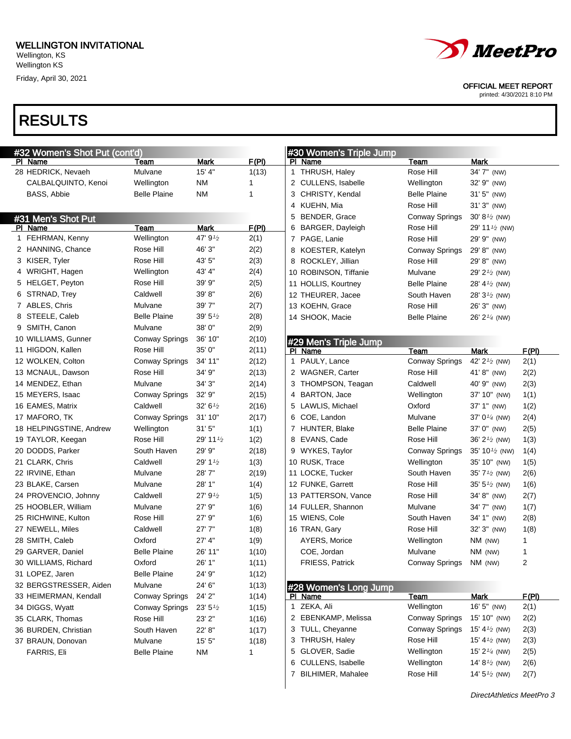### RESULTS

| #32 Women's Shot Put (cont'd) |                       |                    |              | #30 Women's Triple Jump |                        |                            |              |
|-------------------------------|-----------------------|--------------------|--------------|-------------------------|------------------------|----------------------------|--------------|
| PI Name                       | Team                  | Mark               | <u>F(PI)</u> | PI Name                 | Team                   | <b>Mark</b>                |              |
| 28 HEDRICK, Nevaeh            | Mulvane               | 15' 4"             | 1(13)        | 1 THRUSH, Haley         | Rose Hill              | 34' 7" (NW)                |              |
| CALBALQUINTO, Kenoi           | Wellington            | ΝM                 | 1            | 2 CULLENS, Isabelle     | Wellington             | 32' 9" (NW)                |              |
| BASS, Abbie                   | <b>Belle Plaine</b>   | ΝM                 | 1            | 3 CHRISTY, Kendal       | <b>Belle Plaine</b>    | $31'5''$ (NW)              |              |
|                               |                       |                    |              | 4 KUEHN, Mia            | Rose Hill              | $31'3''$ (NW)              |              |
| #31 Men's Shot Put            |                       |                    |              | 5 BENDER, Grace         | <b>Conway Springs</b>  | 30' $8\frac{1}{2}$ (NW)    |              |
| PI Name                       | Team                  | <b>Mark</b>        | F(PI)        | 6 BARGER, Dayleigh      | Rose Hill              | 29' 11 $\frac{1}{2}$ (NW)  |              |
| 1 FEHRMAN, Kenny              | Wellington            | 47' 91/2           | 2(1)         | 7 PAGE, Lanie           | Rose Hill              | 29' 9" (NW)                |              |
| 2 HANNING, Chance             | Rose Hill             | 46' 3"             | 2(2)         | 8 KOESTER, Katelyn      | <b>Conway Springs</b>  | 29' 8" (NW)                |              |
| 3 KISER, Tyler                | Rose Hill             | 43' 5"             | 2(3)         | 8 ROCKLEY, Jillian      | Rose Hill              | 29' 8" (NW)                |              |
| 4 WRIGHT, Hagen               | Wellington            | 43' 4"             | 2(4)         | 10 ROBINSON, Tiffanie   | Mulvane                | 29' $2^{1/2}$ (NW)         |              |
| 5 HELGET, Peyton              | Rose Hill             | 39' 9"             | 2(5)         | 11 HOLLIS, Kourtney     | <b>Belle Plaine</b>    | 28' 4 <sup>1/2</sup> (NW)  |              |
| 6 STRNAD, Trey                | Caldwell              | 39' 8"             | 2(6)         | 12 THEURER, Jacee       | South Haven            | 28' $3\frac{1}{2}$ (NW)    |              |
| 7 ABLES, Chris                | Mulvane               | 39'7"              | 2(7)         | 13 KOEHN, Grace         | Rose Hill              | 26' 3" (NW)                |              |
| 8 STEELE, Caleb               | <b>Belle Plaine</b>   | $39' 5\%$          | 2(8)         | 14 SHOOK, Macie         | <b>Belle Plaine</b>    | 26' 2 <sup>1/4</sup> (NW)  |              |
| 9 SMITH, Canon                | Mulvane               | 38'0"              | 2(9)         |                         |                        |                            |              |
| 10 WILLIAMS, Gunner           | <b>Conway Springs</b> | 36' 10"            | 2(10)        | #29 Men's Triple Jump   |                        |                            |              |
| 11 HIGDON, Kallen             | Rose Hill             | 35' 0"             | 2(11)        | PI Name                 | Team                   | <b>Mark</b>                |              |
| 12 WOLKEN, Colton             | <b>Conway Springs</b> | 34' 11"            | 2(12)        | 1 PAULY, Lance          | Conway Springs         | 42' $2^{1/2}$ (NW)         |              |
| 13 MCNAUL, Dawson             | Rose Hill             | 34' 9"             | 2(13)        | 2 WAGNER, Carter        | Rose Hill              | 41'8" (NW)                 | 2(1)<br>2(2) |
| 14 MENDEZ, Ethan              | Mulvane               | 34' 3"             | 2(14)        | 3 THOMPSON, Teagan      | Caldwell               | 40' 9" (NW)                | 2(3)         |
| 15 MEYERS, Isaac              | <b>Conway Springs</b> | 32'9''             | 2(15)        | 4 BARTON, Jace          | Wellington             | 37' 10" (NW)               |              |
| 16 EAMES, Matrix              | Caldwell              | $32' 6\frac{1}{2}$ | 2(16)        | 5 LAWLIS, Michael       | Oxford                 | 37' 1" (NW)                |              |
| 17 MAFORO, TK                 | <b>Conway Springs</b> | 31'10"             | 2(17)        | 6 COE, Landon           | Mulvane                | 37' $0\frac{1}{4}$ (NW)    |              |
| 18 HELPINGSTINE, Andrew       | Wellington            | 31'5''             | 1(1)         | 7 HUNTER, Blake         | <b>Belle Plaine</b>    | 37' 0" (NW)                |              |
| 19 TAYLOR, Keegan             | Rose Hill             | 29' 111⁄2          | 1(2)         | 8 EVANS, Cade           | Rose Hill              | 36' $2\frac{1}{2}$ (NW)    |              |
| 20 DODDS, Parker              | South Haven           | 29' 9"             | 2(18)        | 9 WYKES, Taylor         | <b>Conway Springs</b>  | 35' 10 <sup>1/2</sup> (NW) |              |
| 21 CLARK, Chris               | Caldwell              | 29' 1 1/2          | 1(3)         | 10 RUSK, Trace          | Wellington             | 35' 10" (NW)               |              |
| 22 IRVINE, Ethan              | Mulvane               | 28'7"              | 2(19)        | 11 LOCKE, Tucker        | South Haven            | 35' $7\frac{1}{2}$ (NW)    |              |
| 23 BLAKE, Carsen              | Mulvane               | 28' 1"             | 1(4)         | 12 FUNKE, Garrett       | Rose Hill              | 35' $5\frac{1}{2}$ (NW)    |              |
| 24 PROVENCIO, Johnny          | Caldwell              | 27'9'              | 1(5)         | 13 PATTERSON, Vance     | Rose Hill              | 34' 8" (NW)                |              |
| 25 HOOBLER, William           | Mulvane               | 27' 9"             | 1(6)         | 14 FULLER, Shannon      | Mulvane                | 34' 7" (NW)                |              |
| 25 RICHWINE, Kulton           | Rose Hill             | 27' 9"             |              | 15 WIENS, Cole          | South Haven            |                            | 1(7)         |
|                               | Caldwell              | 27'7''             | 1(6)         |                         | Rose Hill              | 34' 1" (NW)                | 2(8)         |
| 27 NEWELL, Miles              | Oxford                |                    | 1(8)         | 16 TRAN, Gary           |                        | 32' 3" (NW)                | 1(8)         |
| 28 SMITH, Caleb               | <b>Belle Plaine</b>   | 27' 4"             | 1(9)         | AYERS, Morice           | Wellington             | NM (NW)                    |              |
| 29 GARVER, Daniel             |                       | 26' 11"            | 1(10)        | COE, Jordan             | Mulvane                | $NM$ (NW)                  |              |
| 30 WILLIAMS, Richard          | Oxford                | 26' 1"             | 1(11)        | FRIESS, Patrick         | Conway Springs NM (NW) |                            |              |
| 31 LOPEZ, Jaren               | <b>Belle Plaine</b>   | 24' 9"             | 1(12)        |                         |                        |                            |              |
| 32 BERGSTRESSER, Aiden        | Mulvane               | 24' 6"             | 1(13)        | #28 Women's Long Jump   |                        |                            |              |
| 33 HEIMERMAN, Kendall         | <b>Conway Springs</b> | 24' 2"             | 1(14)        | PI Name                 | <u>Team</u>            | Mark                       |              |
| 34 DIGGS, Wyatt               | <b>Conway Springs</b> | $23' 5\frac{1}{2}$ | 1(15)        | 1 ZEKA, Ali             | Wellington             | $16'5''$ (NW)              |              |
| 35 CLARK, Thomas              | Rose Hill             | 23' 2"             | 1(16)        | 2 EBENKAMP, Melissa     | <b>Conway Springs</b>  | 15' 10" (NW)               |              |
| 36 BURDEN, Christian          | South Haven           | 22' 8"             | 1(17)        | 3 TULL, Cheyanne        | Conway Springs         | 15' 4 $\frac{1}{2}$ (NW)   |              |
| 37 BRAUN, Donovan             | Mulvane               | 15'5''             | 1(18)        | 3 THRUSH, Haley         | Rose Hill              | 15' 4 $\frac{1}{2}$ (NW)   | 2(3)         |
| FARRIS, Eli                   | <b>Belle Plaine</b>   | <b>NM</b>          | 1            | 5 GLOVER, Sadie         | Wellington             | 15' $2\frac{1}{4}$ (NW)    | 2(5)<br>2(6) |
|                               |                       |                    |              | 6 CULLENS, Isabelle     | Wellington             | 14' $8\frac{1}{2}$ (NW)    |              |
|                               |                       |                    |              | 7 BILHIMER, Mahalee     | Rose Hill              | 14' $5\frac{1}{2}$ (NW)    |              |



OFFICIAL MEET REPORT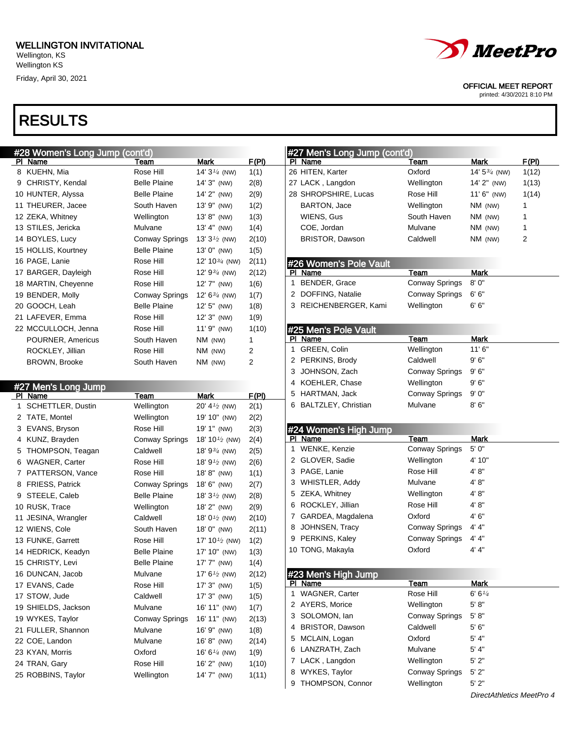# RESULTS

|    | #28 Women's Long Jump (cont'd) |                     |                                        |       |  |  |  |  |  |  |  |
|----|--------------------------------|---------------------|----------------------------------------|-------|--|--|--|--|--|--|--|
| PI | Name                           | Team                | Mark                                   | F(PI) |  |  |  |  |  |  |  |
| 8  | KUEHN, Mia                     | Rose Hill           | 14' $3\frac{1}{4}$ (NW)                | 1(1)  |  |  |  |  |  |  |  |
|    | 9 CHRISTY, Kendal              | <b>Belle Plaine</b> | 14' 3" (NW)                            | 2(8)  |  |  |  |  |  |  |  |
|    | 10 HUNTER, Alyssa              | <b>Belle Plaine</b> | 14' 2" (NW)                            | 2(9)  |  |  |  |  |  |  |  |
|    | 11 THEURER, Jacee              | South Haven         | 13' 9" (NW)                            | 1(2)  |  |  |  |  |  |  |  |
|    | 12 ZEKA, Whitney               | Wellington          | 13' 8" (NW)                            | 1(3)  |  |  |  |  |  |  |  |
|    | 13 STILES, Jericka             | Mulvane             | 13' 4" (NW)                            | 1(4)  |  |  |  |  |  |  |  |
|    | 14 BOYLES, Lucy                | Conway Springs      | 13' $3\frac{1}{2}$ (NW)                | 2(10) |  |  |  |  |  |  |  |
|    | 15 HOLLIS, Kourtney            | <b>Belle Plaine</b> | 13' 0" (NW)                            | 1(5)  |  |  |  |  |  |  |  |
|    | 16 PAGE, Lanie                 | Rose Hill           | 12' $10^{3/4}$ (NW)                    | 2(11) |  |  |  |  |  |  |  |
|    | 17 BARGER, Dayleigh            | Rose Hill           | 12' $9^{3/4}$ (NW)                     | 2(12) |  |  |  |  |  |  |  |
|    | 18 MARTIN, Cheyenne            | Rose Hill           | 12' 7" (NW)                            | 1(6)  |  |  |  |  |  |  |  |
|    | 19 BENDER, Molly               | Conway Springs      | 12' $6\frac{3}{4}$ (NW)                | 1(7)  |  |  |  |  |  |  |  |
|    | 20 GOOCH, Leah                 | <b>Belle Plaine</b> | 12' 5" (NW)                            | 1(8)  |  |  |  |  |  |  |  |
|    | 21 LAFEVER, Emma               | Rose Hill           | 12' 3" (NW)                            | 1(9)  |  |  |  |  |  |  |  |
|    | 22 MCCULLOCH, Jenna            | Rose Hill           | 11' 9" (NW)                            | 1(10) |  |  |  |  |  |  |  |
|    | POURNER, Americus              | South Haven         | $NM$ (NW)                              | 1     |  |  |  |  |  |  |  |
|    | ROCKLEY, Jillian               | Rose Hill           | NM (NW)                                | 2     |  |  |  |  |  |  |  |
|    | <b>BROWN, Brooke</b>           | South Haven         | NM (NW)                                | 2     |  |  |  |  |  |  |  |
|    |                                |                     |                                        |       |  |  |  |  |  |  |  |
|    | #27 Men's Long Jump            |                     |                                        |       |  |  |  |  |  |  |  |
| PI | Name                           | Team                | <b>Mark</b>                            | F(PI) |  |  |  |  |  |  |  |
| 1  | <b>SCHETTLER, Dustin</b>       | Wellington          | 20' 4 <sup><math>1/2</math></sup> (NW) | 2(1)  |  |  |  |  |  |  |  |
| 2  | TATE, Montel                   | Wellington          | 19' 10" (NW)                           | 2(2)  |  |  |  |  |  |  |  |
| 3  | EVANS, Bryson                  | Rose Hill           | 19' 1" (NW)                            | 2(3)  |  |  |  |  |  |  |  |

|   | 2 TATE, Montel        | Wellington          | 19' 10" (NW)              | 2(2)  |
|---|-----------------------|---------------------|---------------------------|-------|
|   | 3 EVANS, Bryson       | Rose Hill           | 19' 1" (NW)               | 2(3)  |
| 4 | KUNZ, Brayden         | Conway Springs      | 18' 10 $\frac{1}{2}$ (NW) | 2(4)  |
|   | 5 THOMPSON, Teagan    | Caldwell            | 18' 9 $\frac{3}{4}$ (NW)  | 2(5)  |
| 6 | <b>WAGNER, Carter</b> | Rose Hill           | 18' $9\frac{1}{2}$ (NW)   | 2(6)  |
|   | 7 PATTERSON, Vance    | Rose Hill           | 18'8" (NW)                | 1(1)  |
|   | 8 FRIESS, Patrick     | Conway Springs      | 18' 6" (NW)               | 2(7)  |
|   | 9 STEELE, Caleb       | <b>Belle Plaine</b> | 18' $3\frac{1}{2}$ (NW)   | 2(8)  |
|   | 10 RUSK, Trace        | Wellington          | 18' 2" (NW)               | 2(9)  |
|   | 11 JESINA, Wrangler   | Caldwell            | 18' 0 $\frac{1}{2}$ (NW)  | 2(10) |
|   | 12 WIENS, Cole        | South Haven         | 18' 0" (NW)               | 2(11) |
|   | 13 FUNKE, Garrett     | Rose Hill           | 17' 10 $\frac{1}{2}$ (NW) | 1(2)  |
|   | 14 HEDRICK, Keadyn    | <b>Belle Plaine</b> | 17' 10" (NW)              | 1(3)  |
|   | 15 CHRISTY, Levi      | <b>Belle Plaine</b> | 17' 7" (NW)               | 1(4)  |
|   | 16 DUNCAN, Jacob      | Mulvane             | 17' $6\frac{1}{2}$ (NW)   | 2(12) |
|   | 17 EVANS, Cade        | Rose Hill           | 17' 3" (NW)               | 1(5)  |
|   | 17 STOW, Jude         | Caldwell            | 17' 3" (NW)               | 1(5)  |
|   | 19 SHIELDS, Jackson   | Mulvane             | 16' 11" (NW)              | 1(7)  |
|   | 19 WYKES, Taylor      | Conway Springs      | 16' 11" (NW)              | 2(13) |
|   | 21 FULLER, Shannon    | Mulvane             | 16' 9" (NW)               | 1(8)  |
|   | 22 COE, Landon        | Mulvane             | 16'8" (NW)                | 2(14) |
|   | 23 KYAN, Morris       | Oxford              | 16' 6 $\frac{1}{4}$ (NW)  | 1(9)  |
|   | 24 TRAN, Gary         | Rose Hill           | 16' 2" (NW)               | 1(10) |
|   | 25 ROBBINS, Taylor    | Wellington          | 14' 7" (NW)               | 1(11) |
|   |                       |                     |                           |       |

| #27 Men's Long Jump (cont'd) |                                  |                       |                                   |       |  |  |  |  |  |  |
|------------------------------|----------------------------------|-----------------------|-----------------------------------|-------|--|--|--|--|--|--|
|                              | PI Name                          | Team                  | Mark                              | F(PI) |  |  |  |  |  |  |
|                              | 26 HITEN, Karter                 | Oxford                | 14' $5^{3/4}$ (NW)                | 1(12) |  |  |  |  |  |  |
|                              | 27 LACK, Langdon                 | Wellington            | 14' 2" (NW)                       | 1(13) |  |  |  |  |  |  |
|                              | 28 SHROPSHIRE, Lucas             | Rose Hill             | $11' 6''$ (NW)                    | 1(14) |  |  |  |  |  |  |
|                              | BARTON, Jace                     | Wellington            | NM (NW)                           | 1     |  |  |  |  |  |  |
|                              | WIENS, Gus                       | South Haven           | NM (NW)                           | 1     |  |  |  |  |  |  |
|                              | COE, Jordan                      | Mulvane               | NM (NW)                           | 1     |  |  |  |  |  |  |
|                              | BRISTOR, Dawson                  | Caldwell              | NM (NW)                           | 2     |  |  |  |  |  |  |
|                              |                                  |                       |                                   |       |  |  |  |  |  |  |
|                              | #26 Women's Pole Vault           |                       |                                   |       |  |  |  |  |  |  |
|                              | PI Name                          | Team                  | Mark                              |       |  |  |  |  |  |  |
|                              | 1 BENDER, Grace                  | <b>Conway Springs</b> | 8' 0"                             |       |  |  |  |  |  |  |
|                              | 2 DOFFING, Natalie               | Conway Springs        | 6'6''                             |       |  |  |  |  |  |  |
|                              | 3 REICHENBERGER, Kami            | Wellington            | 6'6''                             |       |  |  |  |  |  |  |
|                              |                                  |                       |                                   |       |  |  |  |  |  |  |
|                              | #25 Men's Pole Vault<br>PI Name  | Team                  | Mark                              |       |  |  |  |  |  |  |
|                              | 1 GREEN, Colin                   | Wellington            | 11'6"                             |       |  |  |  |  |  |  |
|                              | 2 PERKINS, Brody                 | Caldwell              | 9'6''                             |       |  |  |  |  |  |  |
|                              | 3 JOHNSON, Zach                  | Conway Springs        | 9'6''                             |       |  |  |  |  |  |  |
|                              | 4 KOEHLER, Chase                 | Wellington            | 9'6"                              |       |  |  |  |  |  |  |
|                              | 5 HARTMAN, Jack                  | Conway Springs        | 9'0"                              |       |  |  |  |  |  |  |
|                              | 6 BALTZLEY, Christian            | Mulvane               | 8'6''                             |       |  |  |  |  |  |  |
|                              |                                  |                       |                                   |       |  |  |  |  |  |  |
|                              |                                  |                       |                                   |       |  |  |  |  |  |  |
|                              |                                  |                       |                                   |       |  |  |  |  |  |  |
|                              | #24 Women's High Jump<br>PI Name | Team                  | Mark                              |       |  |  |  |  |  |  |
|                              | 1 WENKE, Kenzie                  | Conway Springs        | 5' 0"                             |       |  |  |  |  |  |  |
|                              | 2 GLOVER, Sadie                  | Wellington            | 4' 10"                            |       |  |  |  |  |  |  |
|                              | 3 PAGE, Lanie                    | Rose Hill             | 4'8"                              |       |  |  |  |  |  |  |
|                              | 3 WHISTLER, Addy                 | Mulvane               | 4'8"                              |       |  |  |  |  |  |  |
|                              | 5 ZEKA, Whitney                  | Wellington            | 4' 8"                             |       |  |  |  |  |  |  |
|                              | 6 ROCKLEY, Jillian               | Rose Hill             | 4' 8"                             |       |  |  |  |  |  |  |
|                              | 7 GARDEA, Magdalena              | Oxford                | 4' 6"                             |       |  |  |  |  |  |  |
|                              | 8 JOHNSEN, Tracy                 | Conway Springs        | 4' 4"                             |       |  |  |  |  |  |  |
|                              | 9 PERKINS, Kaley                 | Conway Springs        | 4' 4"                             |       |  |  |  |  |  |  |
|                              | 10 TONG, Makayla                 | Oxford                | 4' 4"                             |       |  |  |  |  |  |  |
|                              |                                  |                       |                                   |       |  |  |  |  |  |  |
|                              | #23 Men's High Jump              |                       |                                   |       |  |  |  |  |  |  |
|                              | PI Name                          | Team                  | Mark                              |       |  |  |  |  |  |  |
|                              | 1 WAGNER, Carter                 | Rose Hill             | 6'6''                             |       |  |  |  |  |  |  |
|                              | 2 AYERS, Morice                  | Wellington            | 5' 8''                            |       |  |  |  |  |  |  |
|                              | 3 SOLOMON, lan                   | <b>Conway Springs</b> | 5' 8"                             |       |  |  |  |  |  |  |
|                              | 4 BRISTOR, Dawson                | Caldwell              | 5' 6"                             |       |  |  |  |  |  |  |
|                              | 5 MCLAIN, Logan                  | Oxford                | 5' 4"                             |       |  |  |  |  |  |  |
|                              | 6 LANZRATH, Zach                 | Mulvane               | 5' 4"                             |       |  |  |  |  |  |  |
|                              | 7 LACK, Langdon                  | Wellington            | 5' 2"                             |       |  |  |  |  |  |  |
|                              | 8 WYKES, Taylor                  | <b>Conway Springs</b> | 5' 2"                             |       |  |  |  |  |  |  |
| 9                            | THOMPSON, Connor                 | Wellington            | 5'2"<br>DirectAthletics MeetPro 4 |       |  |  |  |  |  |  |



OFFICIAL MEET REPORT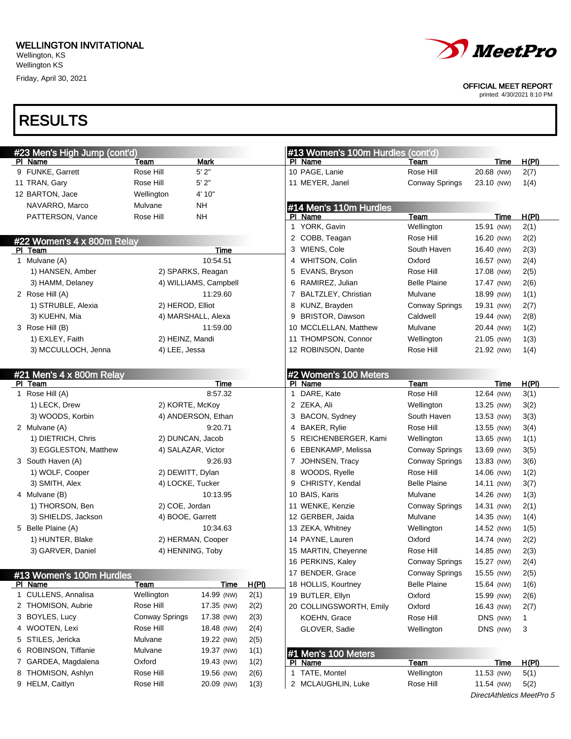Wellington KS Friday, April 30, 2021



OFFICIAL MEET REPORT

printed: 4/30/2021 8:10 PM

### RESULTS

| #23 Men's High Jump (cont'd)       |                       |                       |       | #13 Women's 100m Hurdles (cont'd) |                       |                                         |       |
|------------------------------------|-----------------------|-----------------------|-------|-----------------------------------|-----------------------|-----------------------------------------|-------|
| PI Name                            | Team                  | <b>Mark</b>           |       | PI Name                           | Team                  | Time                                    | H(PI) |
| 9 FUNKE, Garrett                   | Rose Hill             | $5'$ $2"$             |       | 10 PAGE, Lanie                    | Rose Hill             | 20.68 (NW)                              | 2(7)  |
| 11 TRAN, Gary                      | Rose Hill             | $5'$ $2"$             |       | 11 MEYER, Janel                   | Conway Springs        | 23.10 (NW)                              | 1(4)  |
| 12 BARTON, Jace                    | Wellington            | 4' 10"                |       |                                   |                       |                                         |       |
| NAVARRO, Marco                     | Mulvane               | <b>NH</b>             |       | #14 Men's 110m Hurdles            |                       |                                         |       |
| PATTERSON, Vance                   | Rose Hill             | <b>NH</b>             |       | PI Name                           | <b>Team</b>           | Time                                    | H(PI) |
|                                    |                       |                       |       | 1 YORK, Gavin                     | Wellington            | 15.91 (NW)                              | 2(1)  |
| #22 Women's 4 x 800m Relay         |                       |                       |       | 2 COBB, Teagan                    | Rose Hill             | 16.20 (NW)                              | 2(2)  |
| PI Team                            |                       | <b>Time</b>           |       | 3 WIENS, Cole                     | South Haven           | 16.40 (NW)                              | 2(3)  |
| 1 Mulvane (A)                      |                       | 10:54.51              |       | 4 WHITSON, Colin                  | Oxford                | 16.57 (NW)                              | 2(4)  |
| 1) HANSEN, Amber                   | 2) SPARKS, Reagan     |                       |       | 5 EVANS, Bryson                   | Rose Hill             | 17.08 (NW)                              | 2(5)  |
| 3) HAMM, Delaney                   |                       | 4) WILLIAMS, Campbell |       | 6 RAMIREZ, Julian                 | <b>Belle Plaine</b>   | 17.47 (NW)                              | 2(6)  |
| 2 Rose Hill (A)                    |                       | 11:29.60              |       | 7 BALTZLEY, Christian             | Mulvane               | 18.99 (NW)                              | 1(1)  |
| 1) STRUBLE, Alexia                 | 2) HEROD, Elliot      |                       |       | 8 KUNZ, Brayden                   | Conway Springs        | 19.31 (NW)                              | 2(7)  |
| 3) KUEHN, Mia                      |                       | 4) MARSHALL, Alexa    |       | 9 BRISTOR, Dawson                 | Caldwell              | 19.44 (NW)                              | 2(8)  |
| 3 Rose Hill (B)                    |                       | 11:59.00              |       | 10 MCCLELLAN, Matthew             | Mulvane               | 20.44 (NW)                              | 1(2)  |
| 1) EXLEY, Faith                    | 2) HEINZ, Mandi       |                       |       | 11 THOMPSON, Connor               | Wellington            | 21.05 (NW)                              | 1(3)  |
| 3) MCCULLOCH, Jenna                | 4) LEE, Jessa         |                       |       | 12 ROBINSON, Dante                | Rose Hill             | 21.92 (NW)                              | 1(4)  |
|                                    |                       |                       |       |                                   |                       |                                         |       |
| $#21$ Men's $4 \times 800$ m Relay |                       |                       |       | #2 Women's 100 Meters             |                       |                                         |       |
| PI Team                            |                       | <b>Time</b>           |       | PI Name                           | Team                  | Time                                    | H(PI) |
| 1 Rose Hill (A)                    |                       | 8:57.32               |       | 1 DARE, Kate                      | Rose Hill             | 12.64 (NW)                              | 3(1)  |
| 1) LECK, Drew                      | 2) KORTE, McKoy       |                       |       | 2 ZEKA, Ali                       | Wellington            | 13.25 (NW)                              | 3(2)  |
| 3) WOODS, Korbin                   |                       | 4) ANDERSON, Ethan    |       | 3 BACON, Sydney                   | South Haven           | 13.53 (NW)                              | 3(3)  |
| 2 Mulvane (A)                      |                       | 9:20.71               |       | 4 BAKER, Rylie                    | Rose Hill             | 13.55 (NW)                              | 3(4)  |
| 1) DIETRICH, Chris                 | 2) DUNCAN, Jacob      |                       |       | 5 REICHENBERGER, Kami             | Wellington            | 13.65 (NW)                              | 1(1)  |
| 3) EGGLESTON, Matthew              | 4) SALAZAR, Victor    |                       |       | 6 EBENKAMP, Melissa               | Conway Springs        | 13.69 (NW)                              | 3(5)  |
| 3 South Haven (A)                  |                       | 9:26.93               |       | 7 JOHNSEN, Tracy                  | Conway Springs        | 13.83 (NW)                              | 3(6)  |
| 1) WOLF, Cooper                    | 2) DEWITT, Dylan      |                       |       | 8 WOODS, Ryelle                   | Rose Hill             | 14.06 (NW)                              | 1(2)  |
| 3) SMITH, Alex                     | 4) LOCKE, Tucker      |                       |       | 9 CHRISTY, Kendal                 | <b>Belle Plaine</b>   | 14.11 (NW)                              | 3(7)  |
| 4 Mulvane (B)                      |                       | 10:13.95              |       | 10 BAIS, Karis                    | Mulvane               | 14.26 (NW)                              | 1(3)  |
| 1) THORSON, Ben                    | 2) COE, Jordan        |                       |       | 11 WENKE, Kenzie                  | <b>Conway Springs</b> | 14.31 (NW)                              | 2(1)  |
| 3) SHIELDS, Jackson                | 4) BOOE, Garrett      |                       |       | 12 GERBER, Jaida                  | Mulvane               | 14.35 (NW)                              | 1(4)  |
| 5 Belle Plaine (A)                 |                       | 10:34.63              |       | 13 ZEKA, Whitney                  | Wellington            | 14.52 (NW)                              | 1(5)  |
| 1) HUNTER, Blake                   | 2) HERMAN, Cooper     |                       |       | 14 PAYNE, Lauren                  | Oxford                | 14.74 (NW)                              | 2(2)  |
| 3) GARVER, Daniel                  | 4) HENNING, Toby      |                       |       | 15 MARTIN, Cheyenne               | Rose Hill             | 14.85 (NW)                              | 2(3)  |
|                                    |                       |                       |       | 16 PERKINS, Kaley                 | Conway Springs        | 15.27 (NW)                              | 2(4)  |
| #13 Women's 100m Hurdles           |                       |                       |       | 17 BENDER, Grace                  | <b>Conway Springs</b> | 15.55 (NW)                              | 2(5)  |
| PI Name                            | Team                  | Time                  | H(PI) | 18 HOLLIS, Kourtney               | <b>Belle Plaine</b>   | 15.64 (NW)                              | 1(6)  |
| 1 CULLENS, Annalisa                | Wellington            | 14.99 (NW)            | 2(1)  | 19 BUTLER, Ellyn                  | Oxford                | 15.99 (NW)                              | 2(6)  |
| 2 THOMISON, Aubrie                 | Rose Hill             | 17.35 (NW)            | 2(2)  | 20 COLLINGSWORTH, Emily           | Oxford                | 16.43 (NW)                              | 2(7)  |
| 3 BOYLES, Lucy                     | <b>Conway Springs</b> | 17.38 (NW)            | 2(3)  | KOEHN, Grace                      | Rose Hill             | DNS (NW)                                | 1     |
| 4 WOOTEN, Lexi                     | Rose Hill             | 18.48 (NW)            | 2(4)  | GLOVER, Sadie                     | Wellington            | DNS (NW)                                |       |
| STILES, Jericka<br>5               | Mulvane               | 19.22 (NW)            | 2(5)  |                                   |                       |                                         | 3     |
| ROBINSON, Tiffanie<br>6            | Mulvane               | 19.37 (NW)            |       |                                   |                       |                                         |       |
| 7 GARDEA, Magdalena                | Oxford                |                       | 1(1)  | #1 Men's 100 Meters               |                       |                                         |       |
|                                    |                       | 19.43 (NW)            | 1(2)  | PI Name                           | Team                  | Time                                    | H(PI) |
| THOMISON, Ashlyn<br>8              | Rose Hill             | 19.56 (NW)            | 2(6)  | 1 TATE, Montel                    | Wellington            | 11.53 (NW)                              | 5(1)  |
| 9 HELM, Caitlyn                    | Rose Hill             | 20.09 (NW)            | 1(3)  | 2 MCLAUGHLIN, Luke                | Rose Hill             | 11.54 (NW)<br>DirectAthletics MeetPro 5 | 5(2)  |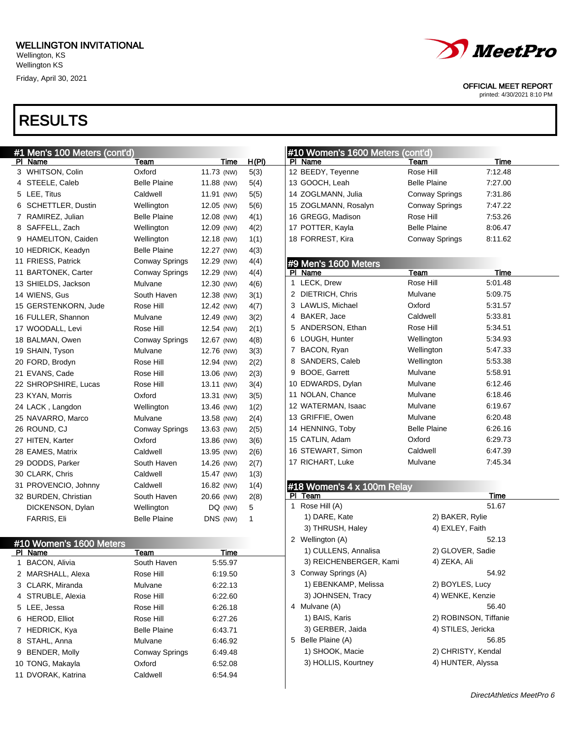# RESULTS

| #1 | Men's 100 Meters (cont'd) |                       |             |              |  |  |  |  |
|----|---------------------------|-----------------------|-------------|--------------|--|--|--|--|
| PI | Name                      | Team                  | <u>Time</u> | <u>H(PI)</u> |  |  |  |  |
| 3  | <b>WHITSON, Colin</b>     | Oxford                | 11.73 (NW)  | 5(3)         |  |  |  |  |
| 4  | STEELE, Caleb             | <b>Belle Plaine</b>   | 11.88 (NW)  | 5(4)         |  |  |  |  |
| 5  | LEE, Titus                | Caldwell              | 11.91 (NW)  | 5(5)         |  |  |  |  |
| 6  | <b>SCHETTLER, Dustin</b>  | Wellington            | 12.05 (NW)  | 5(6)         |  |  |  |  |
| 7  | RAMIREZ, Julian           | <b>Belle Plaine</b>   | 12.08 (NW)  | 4(1)         |  |  |  |  |
| 8  | SAFFELL, Zach             | Wellington            | 12.09 (NW)  | 4(2)         |  |  |  |  |
| 9  | <b>HAMELITON, Caiden</b>  | Wellington            | 12.18 (NW)  | 1(1)         |  |  |  |  |
|    | 10 HEDRICK, Keadyn        | <b>Belle Plaine</b>   | 12.27 (NW)  | 4(3)         |  |  |  |  |
|    | 11 FRIESS, Patrick        | Conway Springs        | 12.29 (NW)  | 4(4)         |  |  |  |  |
|    | 11 BARTONEK, Carter       | <b>Conway Springs</b> | 12.29 (NW)  | 4(4)         |  |  |  |  |
|    | 13 SHIELDS, Jackson       | Mulvane               | 12.30 (NW)  | 4(6)         |  |  |  |  |
|    | 14 WIENS, Gus             | South Haven           | 12.38 (NW)  | 3(1)         |  |  |  |  |
|    | 15 GERSTENKORN, Jude      | Rose Hill             | 12.42 (NW)  | 4(7)         |  |  |  |  |
|    | 16 FULLER, Shannon        | Mulvane               | 12.49 (NW)  | 3(2)         |  |  |  |  |
|    | 17 WOODALL, Levi          | Rose Hill             | 12.54 (NW)  | 2(1)         |  |  |  |  |
|    | 18 BALMAN, Owen           | Conway Springs        | 12.67 (NW)  | 4(8)         |  |  |  |  |
|    | 19 SHAIN, Tyson           | Mulvane               | 12.76 (NW)  | 3(3)         |  |  |  |  |
|    | 20 FORD, Brodyn           | Rose Hill             | 12.94 (NW)  | 2(2)         |  |  |  |  |
|    | 21 EVANS, Cade            | Rose Hill             | 13.06 (NW)  | 2(3)         |  |  |  |  |
|    | 22 SHROPSHIRE, Lucas      | Rose Hill             | 13.11 (NW)  | 3(4)         |  |  |  |  |
|    | 23 KYAN, Morris           | Oxford                | 13.31 (NW)  | 3(5)         |  |  |  |  |
|    | 24 LACK, Langdon          | Wellington            | 13.46 (NW)  | 1(2)         |  |  |  |  |
|    | 25 NAVARRO, Marco         | Mulvane               | 13.58 (NW)  | 2(4)         |  |  |  |  |
|    | 26 ROUND, CJ              | <b>Conway Springs</b> | 13.63 (NW)  | 2(5)         |  |  |  |  |
|    | 27 HITEN, Karter          | Oxford                | 13.86 (NW)  | 3(6)         |  |  |  |  |
|    | 28 EAMES, Matrix          | Caldwell              | 13.95 (NW)  | 2(6)         |  |  |  |  |
|    | 29 DODDS, Parker          | South Haven           | 14.26 (NW)  | 2(7)         |  |  |  |  |
|    | 30 CLARK, Chris           | Caldwell              | 15.47 (NW)  | 1(3)         |  |  |  |  |
|    | 31 PROVENCIO, Johnny      | Caldwell              | 16.82 (NW)  | 1(4)         |  |  |  |  |
|    | 32 BURDEN, Christian      | South Haven           | 20.66 (NW)  | 2(8)         |  |  |  |  |
|    | DICKENSON, Dylan          | Wellington            | DQ (NW)     | 5            |  |  |  |  |
|    | <b>FARRIS, Eli</b>        | <b>Belle Plaine</b>   | DNS (NW)    | 1            |  |  |  |  |
|    |                           |                       |             |              |  |  |  |  |

### #10 Women's 1600 Meters

| <b>Name</b><br>ΡI         | Team                | Time    |  |
|---------------------------|---------------------|---------|--|
| BACON, Alivia<br>1        | South Haven         | 5:55.97 |  |
| 2 MARSHALL, Alexa         | Rose Hill           | 6:19.50 |  |
| 3 CLARK, Miranda          | Mulvane             | 6:22.13 |  |
| 4 STRUBLE, Alexia         | Rose Hill           | 6:22.60 |  |
| 5 LEE, Jessa              | Rose Hill           | 6.26.18 |  |
| HEROD, Elliot<br>6        | Rose Hill           | 6:27.26 |  |
| 7 HEDRICK, Kya            | <b>Belle Plaine</b> | 6:43.71 |  |
| 8 STAHL, Anna             | Mulvane             | 6.46.92 |  |
| <b>BENDER, Molly</b><br>9 | Conway Springs      | 6.49.48 |  |
| 10 TONG, Makayla          | Oxford              | 6:52.08 |  |
| 11 DVORAK, Katrina        | Caldwell            | 6:54.94 |  |

# *MeetPro*

### OFFICIAL MEET REPORT

| #10 Women's 1600 Meters (cont'd)<br>PI Name | Team                | <u>Time</u> |
|---------------------------------------------|---------------------|-------------|
| 12 BEEDY, Teyenne                           | Rose Hill           | 7:12.48     |
| 13 GOOCH, Leah                              | <b>Belle Plaine</b> | 7:27.00     |
| 14 ZOGLMANN, Julia                          | Conway Springs      | 7:31.86     |
| 15 ZOGLMANN, Rosalyn                        | Conway Springs      | 7:47.22     |
| 16 GREGG, Madison                           | Rose Hill           | 7:53.26     |
| 17 POTTER, Kayla                            | <b>Belle Plaine</b> | 8:06.47     |
| 18 FORREST, Kira                            | Conway Springs      | 8:11.62     |
| #9 Men's 1600 Meters                        |                     |             |
| PI Name                                     | Team                | <u>Time</u> |
| 1 LECK, Drew                                | Rose Hill           | 5:01.48     |
| 2 DIETRICH, Chris                           | Mulvane             | 5:09.75     |
| 3 LAWLIS, Michael                           | Oxford              | 5:31.57     |
| 4 BAKER, Jace                               | Caldwell            | 5:33.81     |
| 5 ANDERSON, Ethan                           | Rose Hill           | 5:34.51     |
| 6 LOUGH, Hunter                             | Wellington          | 5:34.93     |
| 7 BACON, Ryan                               | Wellington          | 5:47.33     |
| 8 SANDERS, Caleb                            | Wellington          | 5:53.38     |
| 9 BOOE, Garrett                             | Mulvane             | 5:58.91     |
| 10 EDWARDS, Dylan                           | Mulvane             | 6:12.46     |
| 11 NOLAN, Chance                            | Mulvane             | 6:18.46     |
| 12 WATERMAN, Isaac                          | Mulvane             | 6:19.67     |
| 13 GRIFFIE, Owen                            | Mulvane             | 6:20.48     |
| 14 HENNING, Toby                            | <b>Belle Plaine</b> | 6:26.16     |
| 15 CATLIN, Adam                             | Oxford              | 6:29.73     |
| 16 STEWART, Simon                           | Caldwell            | 6:47.39     |
| 17 RICHART, Luke                            | Mulvane             | 7:45.34     |
| #18 Women's 4 x 100m Relay                  |                     |             |
| PI Team                                     |                     | Time        |
| 1 Rose Hill (A)                             |                     | 51.67       |
| 1) DARE, Kate                               | 2) BAKER, Rylie     |             |
| 3) THRUSH, Haley                            | 4) EXLEY, Faith     |             |
| 2 Wellington (A)                            |                     | 52.13       |
| 1) CULLENS, Annalisa                        | 2) GLOVER, Sadie    |             |
| 3) REICHENBERGER, Kami                      | 4) ZEKA, Ali        |             |
| 3 Conway Springs (A)                        |                     | 54.92       |
| 1) EBENKAMP, Melissa                        | 2) BOYLES, Lucy     |             |
| 3) JOHNSEN, Tracy                           | 4) WENKE, Kenzie    |             |

| 1) EBENKAMP, Melissa | 2) BOYLES, Lucy       |
|----------------------|-----------------------|
| 3) JOHNSEN, Tracy    | 4) WENKE, Kenzie      |
| 4 Mulvane (A)        | 56.40                 |
| 1) BAIS, Karis       | 2) ROBINSON, Tiffanie |
| 3) GERBER, Jaida     | 4) STILES, Jericka    |
| 5 Belle Plaine (A)   | 56.85                 |
| 1) SHOOK, Macie      | 2) CHRISTY, Kendal    |
| 3) HOLLIS, Kourtney  | 4) HUNTER, Alyssa     |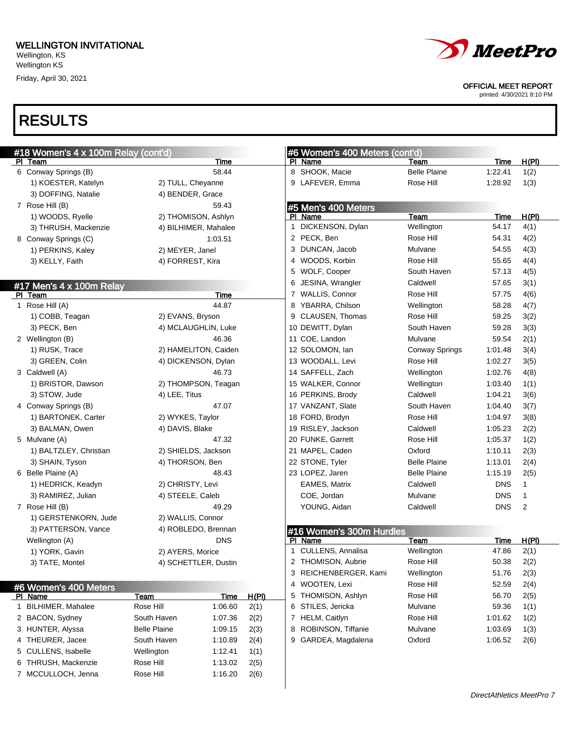

#### OFFICIAL MEET REPORT

printed: 4/30/2021 8:10 PM

### RESULTS

| #18 Women's 4 x 100m Relay (cont'd)       |                      |                 |                      | #6 Women's 400 Meters (cont'd)      |                     |            |              |
|-------------------------------------------|----------------------|-----------------|----------------------|-------------------------------------|---------------------|------------|--------------|
| PI Team                                   |                      | Time            |                      | PI Name                             | Team                | Time       | H(PI)        |
| 6 Conway Springs (B)                      |                      | 58.44           |                      | 8 SHOOK, Macie                      | <b>Belle Plaine</b> | 1:22.41    | 1(2)         |
| 1) KOESTER, Katelyn                       | 2) TULL, Cheyanne    |                 |                      | 9 LAFEVER, Emma                     | Rose Hill           | 1:28.92    | 1(3)         |
| 3) DOFFING, Natalie                       | 4) BENDER, Grace     |                 |                      |                                     |                     |            |              |
| 7 Rose Hill (B)                           |                      | 59.43           |                      | #5 Men's 400 Meters                 |                     |            |              |
| 1) WOODS, Ryelle                          | 2) THOMISON, Ashlyn  |                 |                      | PI Name                             | Team                | Time       | H(PI)        |
| 3) THRUSH, Mackenzie                      | 4) BILHIMER, Mahalee |                 |                      | 1 DICKENSON, Dylan                  | Wellington          | 54.17      | 4(1)         |
| 8 Conway Springs (C)                      |                      | 1:03.51         |                      | 2 PECK, Ben                         | Rose Hill           | 54.31      | 4(2)         |
| 1) PERKINS, Kaley                         | 2) MEYER, Janel      |                 |                      | 3 DUNCAN, Jacob                     | Mulvane             | 54.55      | 4(3)         |
| 3) KELLY, Faith                           | 4) FORREST, Kira     |                 |                      | 4 WOODS, Korbin                     | Rose Hill           | 55.65      | 4(4)         |
|                                           |                      |                 |                      | 5 WOLF, Cooper                      | South Haven         | 57.13      | 4(5)         |
| #17 Men's 4 x 100m Relay                  |                      |                 |                      | 6 JESINA, Wrangler                  | Caldwell            | 57.65      | 3(1)         |
| PI Team                                   |                      | <b>Time</b>     |                      | 7 WALLIS, Connor                    | Rose Hill           | 57.75      | 4(6)         |
| 1 Rose Hill (A)                           |                      | 44.87           |                      | 8 YBARRA, Chilson                   | Wellington          | 58.28      | 4(7)         |
| 1) COBB, Teagan                           | 2) EVANS, Bryson     |                 |                      | 9 CLAUSEN, Thomas                   | Rose Hill           | 59.25      | 3(2)         |
| 3) PECK, Ben                              | 4) MCLAUGHLIN, Luke  |                 |                      | 10 DEWITT, Dylan                    | South Haven         | 59.28      | 3(3)         |
| 2 Wellington (B)                          |                      | 46.36           |                      | 11 COE, Landon                      | Mulvane             | 59.54      | 2(1)         |
| 1) RUSK, Trace                            | 2) HAMELITON, Caiden |                 |                      | 12 SOLOMON, Ian                     | Conway Springs      | 1:01.48    | 3(4)         |
| 3) GREEN, Colin                           | 4) DICKENSON, Dylan  |                 |                      | 13 WOODALL, Levi                    | Rose Hill           | 1:02.27    | 3(5)         |
| 3 Caldwell (A)                            |                      | 46.73           |                      | 14 SAFFELL, Zach                    | Wellington          | 1:02.76    | 4(8)         |
| 1) BRISTOR, Dawson                        | 2) THOMPSON, Teagan  |                 |                      | 15 WALKER, Connor                   | Wellington          | 1:03.40    | 1(1)         |
| 3) STOW, Jude                             | 4) LEE, Titus        |                 |                      | 16 PERKINS, Brody                   | Caldwell            | 1:04.21    | 3(6)         |
| 4 Conway Springs (B)                      |                      | 47.07           |                      | 17 VANZANT, Slate                   | South Haven         | 1:04.40    | 3(7)         |
| 1) BARTONEK, Carter                       | 2) WYKES, Taylor     |                 |                      | 18 FORD, Brodyn                     | Rose Hill           | 1:04.97    | 3(8)         |
| 3) BALMAN, Owen                           | 4) DAVIS, Blake      |                 |                      | 19 RISLEY, Jackson                  | Caldwell            | 1:05.23    | 2(2)         |
| 5 Mulvane (A)                             |                      | 47.32           |                      | 20 FUNKE, Garrett                   | Rose Hill           | 1:05.37    | 1(2)         |
| 1) BALTZLEY, Christian                    | 2) SHIELDS, Jackson  |                 |                      | 21 MAPEL, Caden                     | Oxford              | 1:10.11    | 2(3)         |
| 3) SHAIN, Tyson                           | 4) THORSON, Ben      |                 |                      | 22 STONE, Tyler                     | <b>Belle Plaine</b> | 1:13.01    | 2(4)         |
| 6 Belle Plaine (A)                        |                      | 48.43           |                      | 23 LOPEZ, Jaren                     | <b>Belle Plaine</b> | 1:15.19    | 2(5)         |
| 1) HEDRICK, Keadyn                        | 2) CHRISTY, Levi     |                 |                      | <b>EAMES, Matrix</b>                | Caldwell            | <b>DNS</b> | 1            |
| 3) RAMIREZ, Julian                        | 4) STEELE, Caleb     |                 |                      | COE, Jordan                         | Mulvane             | <b>DNS</b> | $\mathbf{1}$ |
| 7 Rose Hill (B)                           |                      | 49.29           |                      | YOUNG, Aidan                        | Caldwell            | <b>DNS</b> | 2            |
| 1) GERSTENKORN, Jude                      | 2) WALLIS, Connor    |                 |                      |                                     |                     |            |              |
| 3) PATTERSON, Vance                       | 4) ROBLEDO, Brennan  |                 |                      |                                     |                     |            |              |
| Wellington (A)                            |                      | <b>DNS</b>      |                      | #16 Women's 300m Hurdles<br>PI Name | Team                | Time       | H(PI)        |
| 1) YORK, Gavin                            | 2) AYERS, Morice     |                 |                      | 1 CULLENS, Annalisa                 | Wellington          | 47.86      | 2(1)         |
| 3) TATE, Montel                           | 4) SCHETTLER, Dustin |                 |                      | 2 THOMISON, Aubrie                  | Rose Hill           | 50.38      | 2(2)         |
|                                           |                      |                 |                      | 3 REICHENBERGER, Kami               | Wellington          | 51.76      | 2(3)         |
|                                           |                      |                 |                      | 4 WOOTEN, Lexi                      | Rose Hill           | 52.59      | 2(4)         |
| #6 Women's 400 Meters                     |                      |                 |                      | 5 THOMISON, Ashlyn                  | Rose Hill           | 56.70      | 2(5)         |
| PI Name<br><b>BILHIMER, Mahalee</b><br>1. | Team<br>Rose Hill    | Time<br>1:06.60 | <u>H(PI)</u><br>2(1) | 6 STILES, Jericka                   | Mulvane             | 59.36      | 1(1)         |
| 2 BACON, Sydney                           | South Haven          | 1:07.36         | 2(2)                 | 7 HELM, Caitlyn                     | Rose Hill           | 1:01.62    | 1(2)         |
| 3 HUNTER, Alyssa                          | <b>Belle Plaine</b>  | 1:09.15         | 2(3)                 | 8 ROBINSON, Tiffanie                | Mulvane             | 1:03.69    | 1(3)         |
| 4 THEURER, Jacee                          | South Haven          | 1:10.89         |                      | 9 GARDEA, Magdalena                 | Oxford              | 1:06.52    |              |
|                                           |                      |                 | 2(4)                 |                                     |                     |            | 2(6)         |
| 5 CULLENS, Isabelle                       | Wellington           | 1:12.41         | 1(1)                 |                                     |                     |            |              |
| THRUSH, Mackenzie<br>6                    | Rose Hill            | 1:13.02         | 2(5)                 |                                     |                     |            |              |
| 7 MCCULLOCH, Jenna                        | Rose Hill            | 1:16.20         | 2(6)                 |                                     |                     |            |              |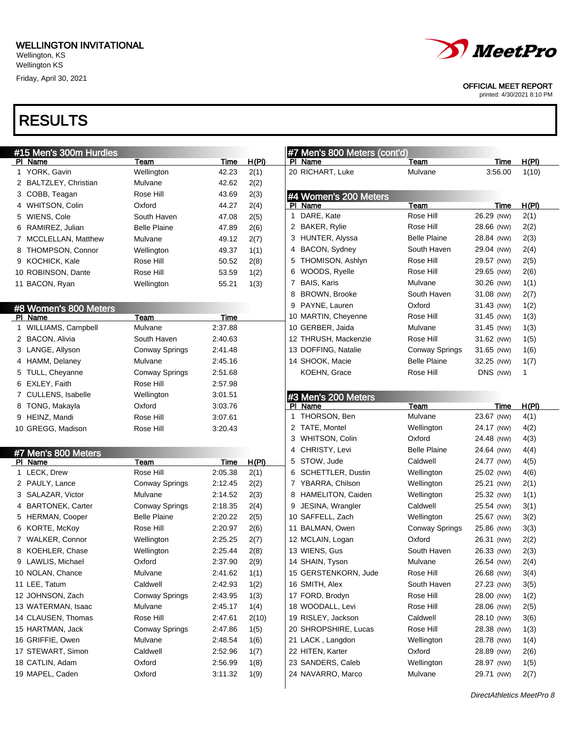Wellington KS Friday, April 30, 2021

### RESULTS

|                        |                     |             |              |                              |                                                                                                                                                                                                                                                                                                                                                    |             | printed: 4/30/2021 8:10 PM |
|------------------------|---------------------|-------------|--------------|------------------------------|----------------------------------------------------------------------------------------------------------------------------------------------------------------------------------------------------------------------------------------------------------------------------------------------------------------------------------------------------|-------------|----------------------------|
| <b>RESULTS</b>         |                     |             |              |                              |                                                                                                                                                                                                                                                                                                                                                    |             |                            |
| #15 Men's 300m Hurdles |                     |             |              | #7 Men's 800 Meters (cont'd) |                                                                                                                                                                                                                                                                                                                                                    |             |                            |
| PI Name                | Team                | Time        | <u>H(PI)</u> | PI Name                      | Team                                                                                                                                                                                                                                                                                                                                               | <b>Time</b> | H(PI)                      |
| 1 YORK, Gavin          | Wellington          | 42.23       | 2(1)         | 20 RICHART, Luke             | Mulvane                                                                                                                                                                                                                                                                                                                                            | 3:56.00     | 1(10)                      |
| 2 BALTZLEY, Christian  | Mulvane             | 42.62       | 2(2)         |                              |                                                                                                                                                                                                                                                                                                                                                    |             |                            |
| 3 COBB, Teagan         | Rose Hill           | 43.69       | 2(3)         | #4 Women's 200 Meters        |                                                                                                                                                                                                                                                                                                                                                    |             |                            |
| 4 WHITSON, Colin       | Oxford              | 44.27       | 2(4)         | PI Name                      | Team                                                                                                                                                                                                                                                                                                                                               | Time        | H(PI)                      |
| 5 WIENS, Cole          | South Haven         | 47.08       | 2(5)         | 1 DARE, Kate                 | Rose Hill                                                                                                                                                                                                                                                                                                                                          | 26.29 (NW)  | 2(1)                       |
| 6 RAMIREZ, Julian      | <b>Belle Plaine</b> | 47.89       | 2(6)         | 2 BAKER, Rylie               | Rose Hill                                                                                                                                                                                                                                                                                                                                          | 28.66 (NW)  | 2(2)                       |
| 7 MCCLELLAN, Matthew   | Mulvane             | 49.12       | 2(7)         | 3 HUNTER, Alyssa             | <b>Belle Plaine</b>                                                                                                                                                                                                                                                                                                                                | 28.84 (NW)  | 2(3)                       |
| 8 THOMPSON, Connor     | Wellington          | 49.37       | 1(1)         | 4 BACON, Sydney              | South Haven                                                                                                                                                                                                                                                                                                                                        | 29.04 (NW)  | 2(4)                       |
| 9 KOCHICK, Kale        | Rose Hill           | 50.52       | 2(8)         | 5 THOMISON, Ashlyn           | Rose Hill                                                                                                                                                                                                                                                                                                                                          | 29.57 (NW)  | 2(5)                       |
| 10 ROBINSON, Dante     | Rose Hill           | 53.59       | 1(2)         | 6 WOODS, Ryelle              | Rose Hill                                                                                                                                                                                                                                                                                                                                          | 29.65 (NW)  | 2(6)                       |
| 11 BACON, Ryan         | Wellington          | 55.21       | 1(3)         | 7 BAIS, Karis                | Mulvane                                                                                                                                                                                                                                                                                                                                            | 30.26 (NW)  | 1(1)                       |
|                        |                     |             |              | 8 BROWN, Brooke              | South Haven                                                                                                                                                                                                                                                                                                                                        | 31.08 (NW)  | 2(7)                       |
| #8 Women's 800 Meters  |                     |             |              | 9 PAYNE, Lauren              | Oxford                                                                                                                                                                                                                                                                                                                                             | 31.43 (NW)  | 1(2)                       |
| PI Name                | Team                | <b>Time</b> |              | 10 MARTIN, Cheyenne          | Rose Hill                                                                                                                                                                                                                                                                                                                                          | 31.45 (NW)  | 1(3)                       |
| 1 WILLIAMS, Campbell   | Mulvane             | 2:37.88     |              | 10 GERBER, Jaida             | Mulvane                                                                                                                                                                                                                                                                                                                                            | 31.45 (NW)  | 1(3)                       |
| 2 BACON, Alivia        | South Haven         | 2:40.63     |              | 12 THRUSH, Mackenzie         | Rose Hill                                                                                                                                                                                                                                                                                                                                          | 31.62 (NW)  | 1(5)                       |
| 3 LANGE, Allyson       | Conway Springs      | 2:41.48     |              | 13 DOFFING, Natalie          | <b>Conway Springs</b>                                                                                                                                                                                                                                                                                                                              | 31.65 (NW)  | 1(6)                       |
| 4 HAMM, Delaney        | Mulvane             | 2:45.16     |              | 14 SHOOK, Macie              | <b>Belle Plaine</b>                                                                                                                                                                                                                                                                                                                                | 32.25 (NW)  | 1(7)                       |
| 5 TULL, Cheyanne       | Conway Springs      | 2:51.68     |              | KOEHN, Grace                 | Rose Hill                                                                                                                                                                                                                                                                                                                                          | DNS (NW)    | 1                          |
| 6 EXLEY, Faith         | Rose Hill           | 2:57.98     |              |                              |                                                                                                                                                                                                                                                                                                                                                    |             |                            |
| 7 CULLENS, Isabelle    | Wellington          | 3:01.51     |              | #3 Men's 200 Meters          |                                                                                                                                                                                                                                                                                                                                                    |             |                            |
| 8 TONG, Makayla        | Oxford              | 3:03.76     |              | PI Name                      | Team                                                                                                                                                                                                                                                                                                                                               | Time        | H(PI)                      |
| 9 HEINZ, Mandi         | Rose Hill           | 3:07.61     |              | 1 THORSON, Ben               | Mulvane                                                                                                                                                                                                                                                                                                                                            | 23.67 (NW)  | 4(1)                       |
| 10 GREGG, Madison      | Rose Hill           | 3:20.43     |              | 2 TATE, Montel               | Wellington                                                                                                                                                                                                                                                                                                                                         | 24.17 (NW)  | 4(2)                       |
|                        |                     |             |              | 3 WHITSON, Colin             | Oxford<br>24.48 (NW)<br><b>Belle Plaine</b><br>24.64 (NW)<br>Caldwell<br>24.77 (NW)<br>Wellington<br>25.02 (NW)<br>Wellington<br>25.21 (NW)<br>Wellington<br>25.32 (NW)<br>Caldwell<br>25.54 (NW)<br>Wellington<br>25.67 (NW)<br><b>Conway Springs</b><br>25.86 (NW)<br>Oxford<br>26.31 (NW)<br>South Haven<br>26.33 (NW)<br>Mulvane<br>26.54 (NW) | 4(3)        |                            |
| #7 Men's 800 Meters    |                     |             |              | 4 CHRISTY, Levi              |                                                                                                                                                                                                                                                                                                                                                    |             | 4(4)                       |
| PI Name                | Team                | <b>Time</b> | H(PI)        | 5 STOW, Jude                 |                                                                                                                                                                                                                                                                                                                                                    |             | 4(5)                       |
| 1 LECK, Drew           | Rose Hill           | 2:05.38     | 2(1)         | 6 SCHETTLER, Dustin          |                                                                                                                                                                                                                                                                                                                                                    |             | 4(6)                       |
| 2 PAULY, Lance         | Conway Springs      | 2:12.45     | 2(2)         | 7 YBARRA, Chilson            |                                                                                                                                                                                                                                                                                                                                                    |             | 2(1)                       |
| 3 SALAZAR, Victor      | Mulvane             | 2:14.52     | 2(3)         | 8 HAMELITON, Caiden          |                                                                                                                                                                                                                                                                                                                                                    |             | 1(1)                       |
| 4 BARTONEK, Carter     | Conway Springs      | 2:18.35     | 2(4)         | 9 JESINA, Wrangler           |                                                                                                                                                                                                                                                                                                                                                    |             | 3(1)                       |
| 5 HERMAN, Cooper       | <b>Belle Plaine</b> | 2:20.22     | 2(5)         | 10 SAFFELL, Zach             |                                                                                                                                                                                                                                                                                                                                                    |             | 3(2)                       |
| 6 KORTE, McKoy         | Rose Hill           | 2:20.97     | 2(6)         | 11 BALMAN, Owen              |                                                                                                                                                                                                                                                                                                                                                    |             | 3(3)                       |
| 7 WALKER, Connor       | Wellington          | 2:25.25     | 2(7)         | 12 MCLAIN, Logan             |                                                                                                                                                                                                                                                                                                                                                    |             | 2(2)                       |
| 8 KOEHLER, Chase       | Wellington          | 2:25.44     | 2(8)         | 13 WIENS, Gus                |                                                                                                                                                                                                                                                                                                                                                    |             | 2(3)                       |
| 9 LAWLIS, Michael      | Oxford              | 2:37.90     | 2(9)         | 14 SHAIN, Tyson              |                                                                                                                                                                                                                                                                                                                                                    |             | 2(4)                       |
|                        |                     |             |              |                              |                                                                                                                                                                                                                                                                                                                                                    |             |                            |

| 2 BALTZLEY, Christian       | Mulvane               | 42.62   | 2(2)  |   |                       |                       |            |              |
|-----------------------------|-----------------------|---------|-------|---|-----------------------|-----------------------|------------|--------------|
| 3 COBB, Teagan              | Rose Hill             | 43.69   | 2(3)  |   | #4 Women's 200 Meters |                       |            |              |
| 4 WHITSON, Colin            | Oxford                | 44.27   | 2(4)  |   | PI Name               | Team                  | Time       | H(PI)        |
| 5 WIENS, Cole               | South Haven           | 47.08   | 2(5)  | 1 | DARE, Kate            | Rose Hill             | 26.29 (NW) | 2(1)         |
| 6 RAMIREZ, Julian           | <b>Belle Plaine</b>   | 47.89   | 2(6)  |   | 2 BAKER, Rylie        | Rose Hill             | 28.66 (NW) | 2(2)         |
| 7 MCCLELLAN, Matthew        | Mulvane               | 49.12   | 2(7)  |   | 3 HUNTER, Alyssa      | <b>Belle Plaine</b>   | 28.84 (NW) | 2(3)         |
| 8 THOMPSON, Connor          | Wellington            | 49.37   | 1(1)  |   | 4 BACON, Sydney       | South Haven           | 29.04 (NW) | 2(4)         |
| 9 KOCHICK, Kale             | Rose Hill             | 50.52   | 2(8)  |   | 5 THOMISON, Ashlyn    | Rose Hill             | 29.57 (NW) | 2(5)         |
| 10 ROBINSON, Dante          | Rose Hill             | 53.59   | 1(2)  |   | 6 WOODS, Ryelle       | Rose Hill             | 29.65 (NW) | 2(6)         |
| 11 BACON, Ryan              | Wellington            | 55.21   | 1(3)  |   | 7 BAIS, Karis         | Mulvane               | 30.26 (NW) | 1(1)         |
|                             |                       |         |       |   | 8 BROWN, Brooke       | South Haven           | 31.08 (NW) | 2(7)         |
| #8 Women's 800 Meters       |                       |         |       |   | 9 PAYNE, Lauren       | Oxford                | 31.43 (NW) | 1(2)         |
| PI_Name                     | Team                  | Time    |       |   | 10 MARTIN, Cheyenne   | Rose Hill             | 31.45 (NW) | 1(3)         |
| 1 WILLIAMS, Campbell        | Mulvane               | 2:37.88 |       |   | 10 GERBER, Jaida      | Mulvane               | 31.45 (NW) | 1(3)         |
| 2 BACON, Alivia             | South Haven           | 2:40.63 |       |   | 12 THRUSH, Mackenzie  | Rose Hill             | 31.62 (NW) | 1(5)         |
| 3 LANGE, Allyson            | <b>Conway Springs</b> | 2:41.48 |       |   | 13 DOFFING, Natalie   | <b>Conway Springs</b> | 31.65 (NW) | 1(6)         |
| 4 HAMM, Delaney             | Mulvane               | 2:45.16 |       |   | 14 SHOOK, Macie       | <b>Belle Plaine</b>   | 32.25 (NW) | 1(7)         |
| 5 TULL, Cheyanne            | <b>Conway Springs</b> | 2:51.68 |       |   | KOEHN, Grace          | Rose Hill             | DNS (NW)   | 1            |
| 6 EXLEY, Faith              | Rose Hill             | 2:57.98 |       |   |                       |                       |            |              |
| 7 CULLENS, Isabelle         | Wellington            | 3:01.51 |       |   | #3 Men's 200 Meters   |                       |            |              |
| 8 TONG, Makayla             | Oxford                | 3:03.76 |       |   | PI Name               | Team                  | Time       | <b>H(PI)</b> |
| 9 HEINZ, Mandi              | Rose Hill             | 3:07.61 |       | 1 | THORSON, Ben          | Mulvane               | 23.67 (NW) | 4(1)         |
| 10 GREGG, Madison           | Rose Hill             | 3:20.43 |       |   | 2 TATE, Montel        | Wellington            | 24.17 (NW) | 4(2)         |
|                             |                       |         |       |   | 3 WHITSON, Colin      | Oxford                | 24.48 (NW) | 4(3)         |
| #7 Men's 800 M <u>eters</u> |                       |         |       |   | 4 CHRISTY, Levi       | <b>Belle Plaine</b>   | 24.64 (NW) | 4(4)         |
| PI Name                     | Team                  | Time    | H(PI) |   | 5 STOW, Jude          | Caldwell              | 24.77 (NW) | 4(5)         |
| 1 LECK, Drew                | Rose Hill             | 2:05.38 | 2(1)  |   | 6 SCHETTLER, Dustin   | Wellington            | 25.02 (NW) | 4(6)         |
| 2 PAULY, Lance              | <b>Conway Springs</b> | 2:12.45 | 2(2)  |   | 7 YBARRA, Chilson     | Wellington            | 25.21 (NW) | 2(1)         |
| 3 SALAZAR, Victor           | Mulvane               | 2:14.52 | 2(3)  |   | 8 HAMELITON, Caiden   | Wellington            | 25.32 (NW) | 1(1)         |
| 4 BARTONEK, Carter          | Conway Springs        | 2:18.35 | 2(4)  |   | 9 JESINA, Wrangler    | Caldwell              | 25.54 (NW) | 3(1)         |
| 5 HERMAN, Cooper            | <b>Belle Plaine</b>   | 2:20.22 | 2(5)  |   | 10 SAFFELL, Zach      | Wellington            | 25.67 (NW) | 3(2)         |
| 6 KORTE, McKoy              | Rose Hill             | 2:20.97 | 2(6)  |   | 11 BALMAN, Owen       | <b>Conway Springs</b> | 25.86 (NW) | 3(3)         |
| 7 WALKER, Connor            | Wellington            | 2:25.25 | 2(7)  |   | 12 MCLAIN, Logan      | Oxford                | 26.31 (NW) | 2(2)         |
| 8 KOEHLER, Chase            | Wellington            | 2:25.44 | 2(8)  |   | 13 WIENS, Gus         | South Haven           | 26.33 (NW) | 2(3)         |
| 9 LAWLIS, Michael           | Oxford                | 2:37.90 | 2(9)  |   | 14 SHAIN, Tyson       | Mulvane               | 26.54 (NW) | 2(4)         |
| 10 NOLAN, Chance            | Mulvane               | 2:41.62 | 1(1)  |   | 15 GERSTENKORN, Jude  | Rose Hill             | 26.68 (NW) | 3(4)         |
| 11 LEE, Tatum               | Caldwell              | 2:42.93 | 1(2)  |   | 16 SMITH, Alex        | South Haven           | 27.23 (NW) | 3(5)         |
| 12 JOHNSON, Zach            | Conway Springs        | 2:43.95 | 1(3)  |   | 17 FORD, Brodyn       | Rose Hill             | 28.00 (NW) | 1(2)         |
| 13 WATERMAN, Isaac          | Mulvane               | 2:45.17 | 1(4)  |   | 18 WOODALL, Levi      | Rose Hill             | 28.06 (NW) | 2(5)         |
| 14 CLAUSEN, Thomas          | Rose Hill             | 2:47.61 | 2(10) |   | 19 RISLEY, Jackson    | Caldwell              | 28.10 (NW) | 3(6)         |
| 15 HARTMAN, Jack            | <b>Conway Springs</b> | 2:47.86 | 1(5)  |   | 20 SHROPSHIRE, Lucas  | Rose Hill             | 28.38 (NW) | 1(3)         |
| 16 GRIFFIE, Owen            | Mulvane               | 2:48.54 | 1(6)  |   | 21 LACK, Langdon      | Wellington            | 28.78 (NW) | 1(4)         |
| 17 STEWART, Simon           | Caldwell              | 2:52.96 | 1(7)  |   | 22 HITEN, Karter      | Oxford                | 28.89 (NW) | 2(6)         |
| 18 CATLIN, Adam             | Oxford                | 2:56.99 | 1(8)  |   | 23 SANDERS, Caleb     | Wellington            | 28.97 (NW) | 1(5)         |
| 19 MAPEL, Caden             | Oxford                | 3:11.32 | 1(9)  |   | 24 NAVARRO, Marco     | Mulvane               | 29.71 (NW) | 2(7)         |
|                             |                       |         |       |   |                       |                       |            |              |



OFFICIAL MEET REPORT